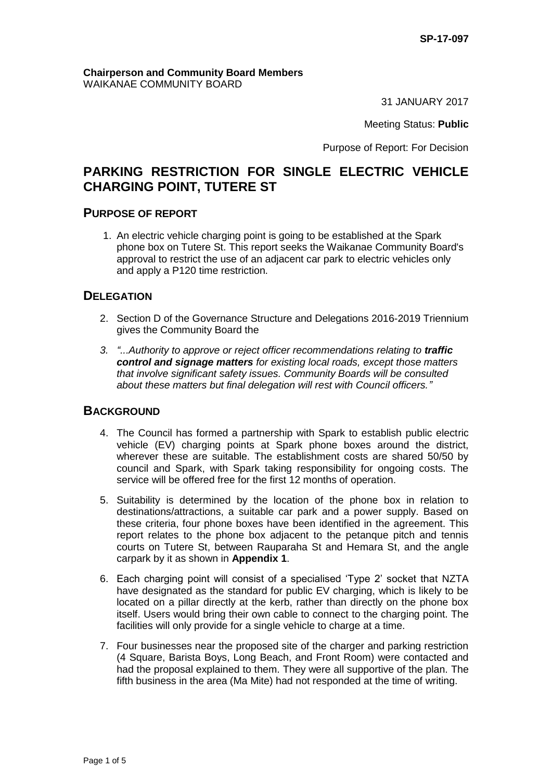#### **Chairperson and Community Board Members** WAIKANAE COMMUNITY BOARD

31 JANUARY 2017

Meeting Status: **Public**

Purpose of Report: For Decision

## **PARKING RESTRICTION FOR SINGLE ELECTRIC VEHICLE CHARGING POINT, TUTERE ST**

#### **PURPOSE OF REPORT**

1. An electric vehicle charging point is going to be established at the Spark phone box on Tutere St. This report seeks the Waikanae Community Board's approval to restrict the use of an adjacent car park to electric vehicles only and apply a P120 time restriction.

### **DELEGATION**

- 2. Section D of the Governance Structure and Delegations 2016-2019 Triennium gives the Community Board the
- *3. "...Authority to approve or reject officer recommendations relating to traffic control and signage matters for existing local roads, except those matters that involve significant safety issues. Community Boards will be consulted about these matters but final delegation will rest with Council officers."*

### **BACKGROUND**

- 4. The Council has formed a partnership with Spark to establish public electric vehicle (EV) charging points at Spark phone boxes around the district, wherever these are suitable. The establishment costs are shared 50/50 by council and Spark, with Spark taking responsibility for ongoing costs. The service will be offered free for the first 12 months of operation.
- 5. Suitability is determined by the location of the phone box in relation to destinations/attractions, a suitable car park and a power supply. Based on these criteria, four phone boxes have been identified in the agreement. This report relates to the phone box adjacent to the petanque pitch and tennis courts on Tutere St, between Rauparaha St and Hemara St, and the angle carpark by it as shown in **Appendix 1**.
- 6. Each charging point will consist of a specialised 'Type 2' socket that NZTA have designated as the standard for public EV charging, which is likely to be located on a pillar directly at the kerb, rather than directly on the phone box itself. Users would bring their own cable to connect to the charging point. The facilities will only provide for a single vehicle to charge at a time.
- 7. Four businesses near the proposed site of the charger and parking restriction (4 Square, Barista Boys, Long Beach, and Front Room) were contacted and had the proposal explained to them. They were all supportive of the plan. The fifth business in the area (Ma Mite) had not responded at the time of writing.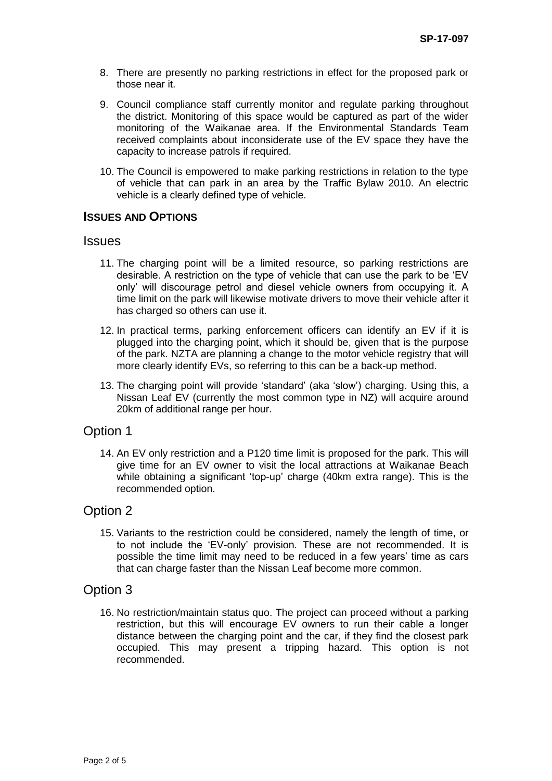- 8. There are presently no parking restrictions in effect for the proposed park or those near it.
- 9. Council compliance staff currently monitor and regulate parking throughout the district. Monitoring of this space would be captured as part of the wider monitoring of the Waikanae area. If the Environmental Standards Team received complaints about inconsiderate use of the EV space they have the capacity to increase patrols if required.
- 10. The Council is empowered to make parking restrictions in relation to the type of vehicle that can park in an area by the Traffic Bylaw 2010. An electric vehicle is a clearly defined type of vehicle.

#### **ISSUES AND OPTIONS**

#### **Issues**

- 11. The charging point will be a limited resource, so parking restrictions are desirable. A restriction on the type of vehicle that can use the park to be 'EV only' will discourage petrol and diesel vehicle owners from occupying it. A time limit on the park will likewise motivate drivers to move their vehicle after it has charged so others can use it.
- 12. In practical terms, parking enforcement officers can identify an EV if it is plugged into the charging point, which it should be, given that is the purpose of the park. NZTA are planning a change to the motor vehicle registry that will more clearly identify EVs, so referring to this can be a back-up method.
- 13. The charging point will provide 'standard' (aka 'slow') charging. Using this, a Nissan Leaf EV (currently the most common type in NZ) will acquire around 20km of additional range per hour.

### Option 1

14. An EV only restriction and a P120 time limit is proposed for the park. This will give time for an EV owner to visit the local attractions at Waikanae Beach while obtaining a significant 'top-up' charge (40km extra range). This is the recommended option.

### Option 2

15. Variants to the restriction could be considered, namely the length of time, or to not include the 'EV-only' provision. These are not recommended. It is possible the time limit may need to be reduced in a few years' time as cars that can charge faster than the Nissan Leaf become more common.

### Option 3

16. No restriction/maintain status quo. The project can proceed without a parking restriction, but this will encourage EV owners to run their cable a longer distance between the charging point and the car, if they find the closest park occupied. This may present a tripping hazard. This option is not recommended.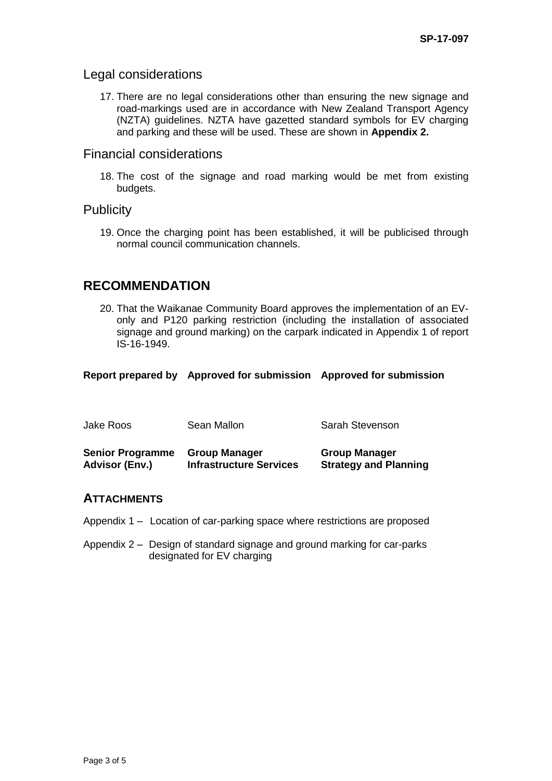### Legal considerations

17. There are no legal considerations other than ensuring the new signage and road-markings used are in accordance with New Zealand Transport Agency (NZTA) guidelines. NZTA have gazetted standard symbols for EV charging and parking and these will be used. These are shown in **Appendix 2.**

## Financial considerations

18. The cost of the signage and road marking would be met from existing budgets.

### **Publicity**

19. Once the charging point has been established, it will be publicised through normal council communication channels.

# **RECOMMENDATION**

20. That the Waikanae Community Board approves the implementation of an EVonly and P120 parking restriction (including the installation of associated signage and ground marking) on the carpark indicated in Appendix 1 of report IS-16-1949.

**Report prepared by Approved for submission Approved for submission**

| Jake Roos               | Sean Mallon                    | Sarah Stevenson              |
|-------------------------|--------------------------------|------------------------------|
| <b>Senior Programme</b> | <b>Group Manager</b>           | <b>Group Manager</b>         |
| <b>Advisor (Env.)</b>   | <b>Infrastructure Services</b> | <b>Strategy and Planning</b> |

#### **ATTACHMENTS**

- Appendix 1 Location of car-parking space where restrictions are proposed
- Appendix 2 Design of standard signage and ground marking for car-parks designated for EV charging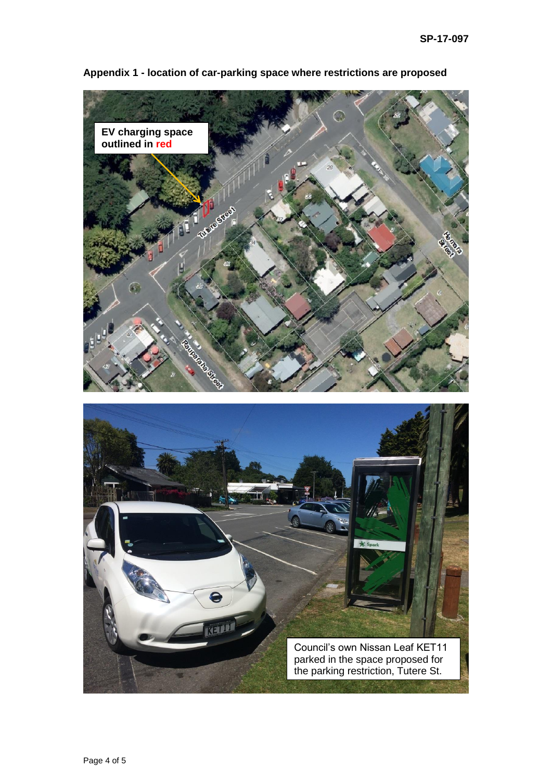

**Appendix 1 - location of car-parking space where restrictions are proposed**